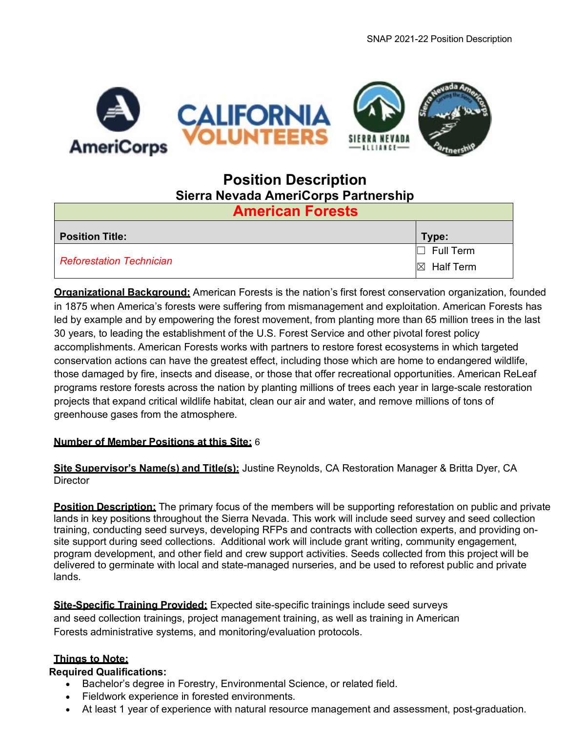

# **Position Description Sierra Nevada AmeriCorps Partnership**

| <b>American Forests</b>         |                       |  |  |  |  |  |  |  |
|---------------------------------|-----------------------|--|--|--|--|--|--|--|
| <b>Position Title:</b>          | Type:                 |  |  |  |  |  |  |  |
|                                 | $\Box$ Full Term      |  |  |  |  |  |  |  |
| <b>Reforestation Technician</b> | $\boxtimes$ Half Term |  |  |  |  |  |  |  |

**Organizational Background:** American Forests is the nation's first forest conservation organization, founded in 1875 when America's forests were suffering from mismanagement and exploitation. American Forests has led by example and by empowering the forest movement, from planting more than 65 million trees in the last 30 years, to leading the establishment of the U.S. Forest Service and other pivotal forest policy accomplishments. American Forests works with partners to restore forest ecosystems in which targeted conservation actions can have the greatest effect, including those which are home to endangered wildlife, those damaged by fire, insects and disease, or those that offer recreational opportunities. American ReLeaf programs restore forests across the nation by planting millions of trees each year in large-scale restoration projects that expand critical wildlife habitat, clean our air and water, and remove millions of tons of greenhouse gases from the atmosphere.

#### **Number of Member Positions at this Site:** 6

**Site Supervisor's Name(s) and Title(s):** Justine Reynolds, CA Restoration Manager & Britta Dyer, CA **Director** 

**Position Description:** The primary focus of the members will be supporting reforestation on public and private lands in key positions throughout the Sierra Nevada. This work will include seed survey and seed collection training, conducting seed surveys, developing RFPs and contracts with collection experts, and providing onsite support during seed collections. Additional work will include grant writing, community engagement, program development, and other field and crew support activities. Seeds collected from this project will be delivered to germinate with local and state-managed nurseries, and be used to reforest public and private lands.

**Site-Specific Training Provided:** Expected site-specific trainings include seed surveys and seed collection trainings, project management training, as well as training in American Forests administrative systems, and monitoring/evaluation protocols.

# **Things to Note:**

#### **Required Qualifications:**

- Bachelor's degree in Forestry, Environmental Science, or related field.
- Fieldwork experience in forested environments.
- At least 1 year of experience with natural resource management and assessment, post-graduation.